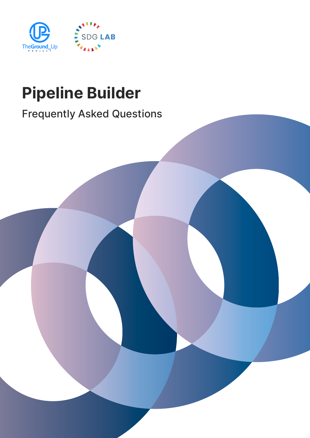

# Pipeline Builder

# Frequently Asked Questions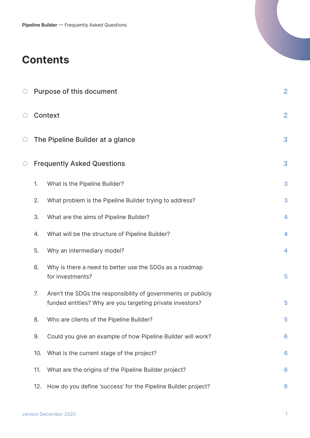### **Contents**

| $\bigcirc$ |     | Purpose of this document                                                                                                   | $\overline{2}$          |  |  |  |  |  |
|------------|-----|----------------------------------------------------------------------------------------------------------------------------|-------------------------|--|--|--|--|--|
| Ő          |     | <b>Context</b>                                                                                                             |                         |  |  |  |  |  |
| Ő          |     | The Pipeline Builder at a glance                                                                                           |                         |  |  |  |  |  |
| $\bigcirc$ |     | <b>Frequently Asked Questions</b>                                                                                          | 3                       |  |  |  |  |  |
|            | 1.  | What is the Pipeline Builder?                                                                                              | 3                       |  |  |  |  |  |
|            | 2.  | What problem is the Pipeline Builder trying to address?                                                                    | 3                       |  |  |  |  |  |
|            | 3.  | What are the aims of Pipeline Builder?                                                                                     | $\overline{\mathbf{4}}$ |  |  |  |  |  |
|            | 4.  | What will be the structure of Pipeline Builder?                                                                            | 4                       |  |  |  |  |  |
|            | 5.  | Why an intermediary model?                                                                                                 | 4                       |  |  |  |  |  |
|            | 6.  | Why is there a need to better use the SDGs as a roadmap<br>for investments?                                                | 5                       |  |  |  |  |  |
|            | 7.  | Aren't the SDGs the responsibility of governments or publicly<br>funded entities? Why are you targeting private investors? | 5                       |  |  |  |  |  |
|            | 8.  | Who are clients of the Pipeline Builder?                                                                                   | 5                       |  |  |  |  |  |
|            | 9.  | Could you give an example of how Pipeline Builder will work?                                                               | $6\phantom{1}6$         |  |  |  |  |  |
|            | 10. | What is the current stage of the project?                                                                                  | $6\phantom{1}6$         |  |  |  |  |  |
|            | 11. | What are the origins of the Pipeline Builder project?                                                                      | $6\phantom{1}6$         |  |  |  |  |  |
|            | 12. | How do you define 'success' for the Pipeline Builder project?                                                              | 6                       |  |  |  |  |  |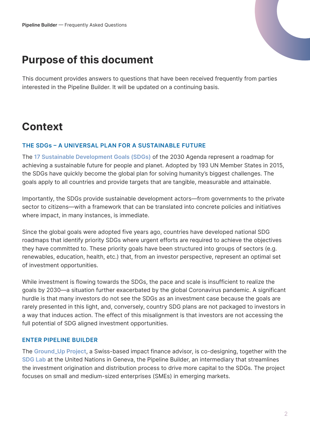## <span id="page-2-0"></span>Purpose of this document

This document provides answers to questions that have been received frequently from parties interested in the Pipeline Builder. It will be updated on a continuing basis.

# **Context**

#### THE SDGs – A UNIVERSAL PLAN FOR A SUSTAINABLE FUTURE

The [17 Sustainable Development Goals \(SDGs\)](https://sdgs.un.org/goals) of the 2030 Agenda represent a roadmap for achieving a sustainable future for people and planet. Adopted by 193 UN Member States in 2015, the SDGs have quickly become the global plan for solving humanity's biggest challenges. The goals apply to all countries and provide targets that are tangible, measurable and attainable.

Importantly, the SDGs provide sustainable development actors—from governments to the private sector to citizens—with a framework that can be translated into concrete policies and initiatives where impact, in many instances, is immediate.

Since the global goals were adopted five years ago, countries have developed national SDG roadmaps that identify priority SDGs where urgent efforts are required to achieve the objectives they have committed to. These priority goals have been structured into groups of sectors (e.g. renewables, education, health, etc.) that, from an investor perspective, represent an optimal set of investment opportunities.

While investment is flowing towards the SDGs, the pace and scale is insufficient to realize the goals by 2030—a situation further exacerbated by the global Coronavirus pandemic. A significant hurdle is that many investors do not see the SDGs as an investment case because the goals are rarely presented in this light, and, conversely, country SDG plans are not packaged to investors in a way that induces action. The effect of this misalignment is that investors are not accessing the full potential of SDG aligned investment opportunities.

#### ENTER PIPELINE BUILDER

The [Ground\\_Up Project,](https://www.groundupproject.net/) a Swiss-based impact finance advisor, is co-designing, together with the [SDG Lab](https://www.sdglab.ch/) at the United Nations in Geneva, the Pipeline Builder, an intermediary that streamlines the investment origination and distribution process to drive more capital to the SDGs. The project focuses on small and medium-sized enterprises (SMEs) in emerging markets.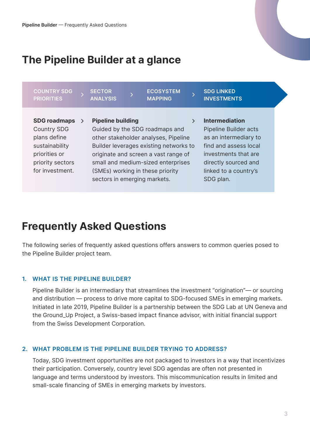# <span id="page-3-0"></span>The Pipeline Builder at a glance

| <b>COUNTRY SDG</b><br><b>PRIORITIES</b>                                                                                             | <b>SECTOR</b><br><b>ANALYSIS</b> | <b>ECOSYSTEM</b><br><b>MAPPING</b>                                                                                                                                                                                                 | <b>SDG LINKED</b><br><b>INVESTMENTS</b>                                                                                                                                   |  |
|-------------------------------------------------------------------------------------------------------------------------------------|----------------------------------|------------------------------------------------------------------------------------------------------------------------------------------------------------------------------------------------------------------------------------|---------------------------------------------------------------------------------------------------------------------------------------------------------------------------|--|
| <b>SDG roadmaps</b><br><b>Country SDG</b><br>plans define<br>sustainability<br>priorities or<br>priority sectors<br>for investment. | <b>Pipeline building</b>         | Guided by the SDG roadmaps and<br>other stakeholder analyses, Pipeline<br>Builder leverages existing networks to<br>originate and screen a vast range of<br>small and medium-sized enterprises<br>(SMEs) working in these priority | <b>Intermediation</b><br>Pipeline Builder acts<br>as an intermediary to<br>find and assess local<br>investments that are<br>directly sourced and<br>linked to a country's |  |
|                                                                                                                                     | sectors in emerging markets.     |                                                                                                                                                                                                                                    | SDG plan.                                                                                                                                                                 |  |

### Frequently Asked Questions

The following series of frequently asked questions offers answers to common queries posed to the Pipeline Builder project team.

#### 1. WHAT IS THE PIPELINE BUILDER?

Pipeline Builder is an intermediary that streamlines the investment "origination"— or sourcing and distribution — process to drive more capital to SDG-focused SMEs in emerging markets. Initiated in late 2019, Pipeline Builder is a partnership between the SDG Lab at UN Geneva and the Ground\_Up Project, a Swiss-based impact finance advisor, with initial financial support from the Swiss Development Corporation.

#### 2. WHAT PROBLEM IS THE PIPELINE BUILDER TRYING TO ADDRESS?

Today, SDG investment opportunities are not packaged to investors in a way that incentivizes their participation. Conversely, country level SDG agendas are often not presented in language and terms understood by investors. This miscommunication results in limited and small-scale financing of SMEs in emerging markets by investors.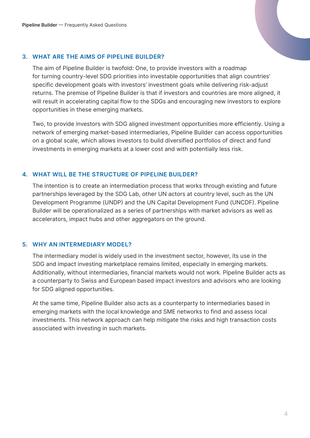#### <span id="page-4-0"></span>3. WHAT ARE THE AIMS OF PIPELINE BUILDER?

The aim of Pipeline Builder is twofold: One, to provide investors with a roadmap for turning country-level SDG priorities into investable opportunities that align countries' specific development goals with investors' investment goals while delivering risk-adjust returns. The premise of Pipeline Builder is that if investors and countries are more aligned, it will result in accelerating capital flow to the SDGs and encouraging new investors to explore opportunities in these emerging markets.

Two, to provide investors with SDG aligned investment opportunities more efficiently. Using a network of emerging market-based intermediaries, Pipeline Builder can access opportunities on a global scale, which allows investors to build diversified portfolios of direct and fund investments in emerging markets at a lower cost and with potentially less risk.

#### 4. WHAT WILL BE THE STRUCTURE OF PIPELINE BUILDER?

The intention is to create an intermediation process that works through existing and future partnerships leveraged by the SDG Lab, other UN actors at country level, such as the UN Development Programme (UNDP) and the UN Capital Development Fund (UNCDF). Pipeline Builder will be operationalized as a series of partnerships with market advisors as well as accelerators, impact hubs and other aggregators on the ground.

#### 5. WHY AN INTERMEDIARY MODEL?

The intermediary model is widely used in the investment sector, however, its use in the SDG and impact investing marketplace remains limited, especially in emerging markets. Additionally, without intermediaries, financial markets would not work. Pipeline Builder acts as a counterparty to Swiss and European based impact investors and advisors who are looking for SDG aligned opportunities.

At the same time, Pipeline Builder also acts as a counterparty to intermediaries based in emerging markets with the local knowledge and SME networks to find and assess local investments. This network approach can help mitigate the risks and high transaction costs associated with investing in such markets.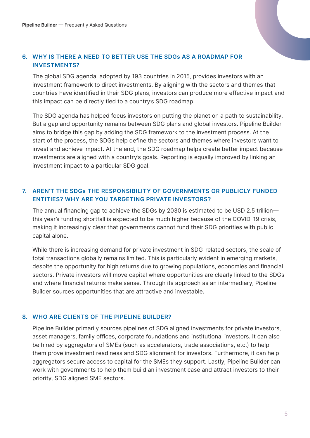#### <span id="page-5-0"></span>6. WHY IS THERE A NEED TO BETTER USE THE SDGs AS A ROADMAP FOR INVESTMENTS?

The global SDG agenda, adopted by 193 countries in 2015, provides investors with an investment framework to direct investments. By aligning with the sectors and themes that countries have identified in their SDG plans, investors can produce more effective impact and this impact can be directly tied to a country's SDG roadmap.

The SDG agenda has helped focus investors on putting the planet on a path to sustainability. But a gap and opportunity remains between SDG plans and global investors. Pipeline Builder aims to bridge this gap by adding the SDG framework to the investment process. At the start of the process, the SDGs help define the sectors and themes where investors want to invest and achieve impact. At the end, the SDG roadmap helps create better impact because investments are aligned with a country's goals. Reporting is equally improved by linking an investment impact to a particular SDG goal.

#### 7. AREN'T THE SDGs THE RESPONSIBILITY OF GOVERNMENTS OR PUBLICLY FUNDED ENTITIES? WHY ARE YOU TARGETING PRIVATE INVESTORS?

The annual financing gap to achieve the SDGs by 2030 is estimated to be USD 2.5 trillion this year's funding shortfall is expected to be much higher because of the COVID-19 crisis, making it increasingly clear that governments cannot fund their SDG priorities with public capital alone.

While there is increasing demand for private investment in SDG-related sectors, the scale of total transactions globally remains limited. This is particularly evident in emerging markets, despite the opportunity for high returns due to growing populations, economies and financial sectors. Private investors will move capital where opportunities are clearly linked to the SDGs and where financial returns make sense. Through its approach as an intermediary, Pipeline Builder sources opportunities that are attractive and investable.

#### 8. WHO ARE CLIENTS OF THE PIPELINE BUILDER?

Pipeline Builder primarily sources pipelines of SDG aligned investments for private investors, asset managers, family offices, corporate foundations and institutional investors. It can also be hired by aggregators of SMEs (such as accelerators, trade associations, etc.) to help them prove investment readiness and SDG alignment for investors. Furthermore, it can help aggregators secure access to capital for the SMEs they support. Lastly, Pipeline Builder can work with governments to help them build an investment case and attract investors to their priority, SDG aligned SME sectors.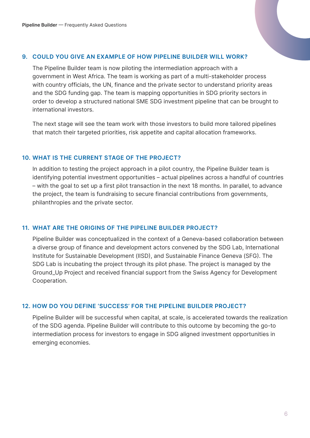#### <span id="page-6-0"></span>9. COULD YOU GIVE AN EXAMPLE OF HOW PIPELINE BUILDER WILL WORK?

The Pipeline Builder team is now piloting the intermediation approach with a government in West Africa. The team is working as part of a multi-stakeholder process with country officials, the UN, finance and the private sector to understand priority areas and the SDG funding gap. The team is mapping opportunities in SDG priority sectors in order to develop a structured national SME SDG investment pipeline that can be brought to international investors.

The next stage will see the team work with those investors to build more tailored pipelines that match their targeted priorities, risk appetite and capital allocation frameworks.

#### 10. WHAT IS THE CURRENT STAGE OF THE PROJECT?

In addition to testing the project approach in a pilot country, the Pipeline Builder team is identifying potential investment opportunities – actual pipelines across a handful of countries – with the goal to set up a first pilot transaction in the next 18 months. In parallel, to advance the project, the team is fundraising to secure financial contributions from governments, philanthropies and the private sector.

#### 11. WHAT ARE THE ORIGINS OF THE PIPELINE BUILDER PROJECT?

Pipeline Builder was conceptualized in the context of a Geneva-based collaboration between a diverse group of finance and development actors convened by the SDG Lab, International Institute for Sustainable Development (IISD), and Sustainable Finance Geneva (SFG). The SDG Lab is incubating the project through its pilot phase. The project is managed by the Ground\_Up Project and received financial support from the Swiss Agency for Development Cooperation.

#### 12. HOW DO YOU DEFINE 'SUCCESS' FOR THE PIPELINE BUILDER PROJECT?

Pipeline Builder will be successful when capital, at scale, is accelerated towards the realization of the SDG agenda. Pipeline Builder will contribute to this outcome by becoming the go-to intermediation process for investors to engage in SDG aligned investment opportunities in emerging economies.